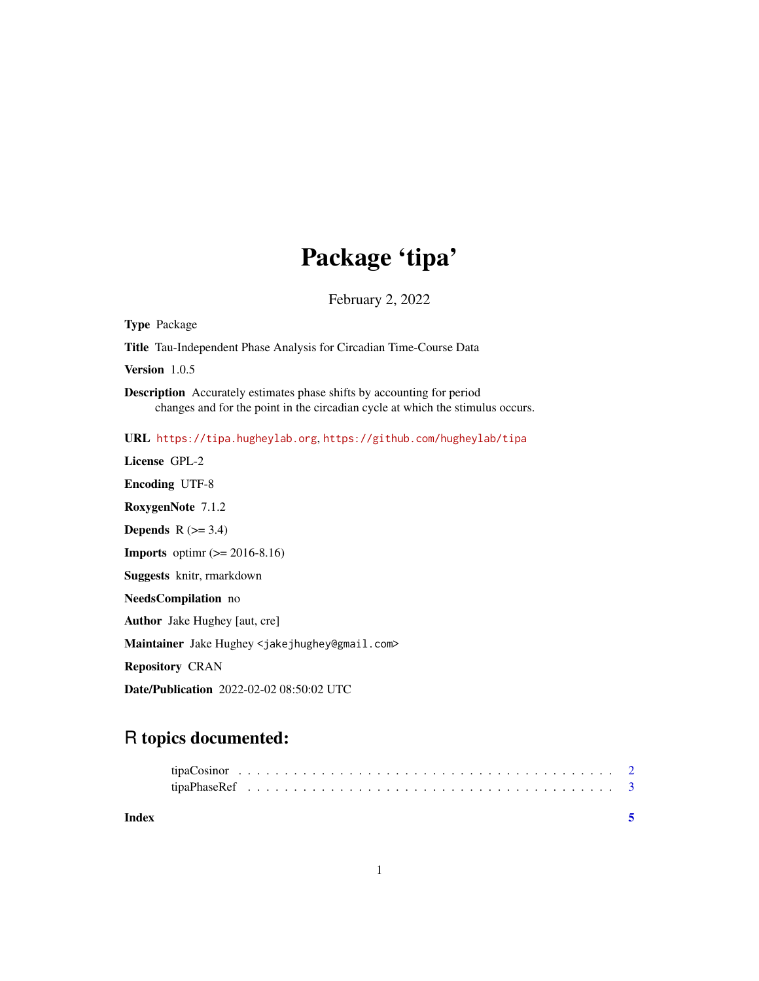## Package 'tipa'

February 2, 2022

Type Package Title Tau-Independent Phase Analysis for Circadian Time-Course Data Version 1.0.5 Description Accurately estimates phase shifts by accounting for period changes and for the point in the circadian cycle at which the stimulus occurs. URL <https://tipa.hugheylab.org>, <https://github.com/hugheylab/tipa> License GPL-2 Encoding UTF-8 RoxygenNote 7.1.2 **Depends**  $R$  ( $>= 3.4$ ) **Imports** optime  $(>= 2016-8.16)$ Suggests knitr, rmarkdown NeedsCompilation no Author Jake Hughey [aut, cre] Maintainer Jake Hughey <jakejhughey@gmail.com> Repository CRAN Date/Publication 2022-02-02 08:50:02 UTC

## R topics documented:

| Index |  |  |  |  |  |  |  |  |  |  |  |  |  |  |  |  |  |  |  |
|-------|--|--|--|--|--|--|--|--|--|--|--|--|--|--|--|--|--|--|--|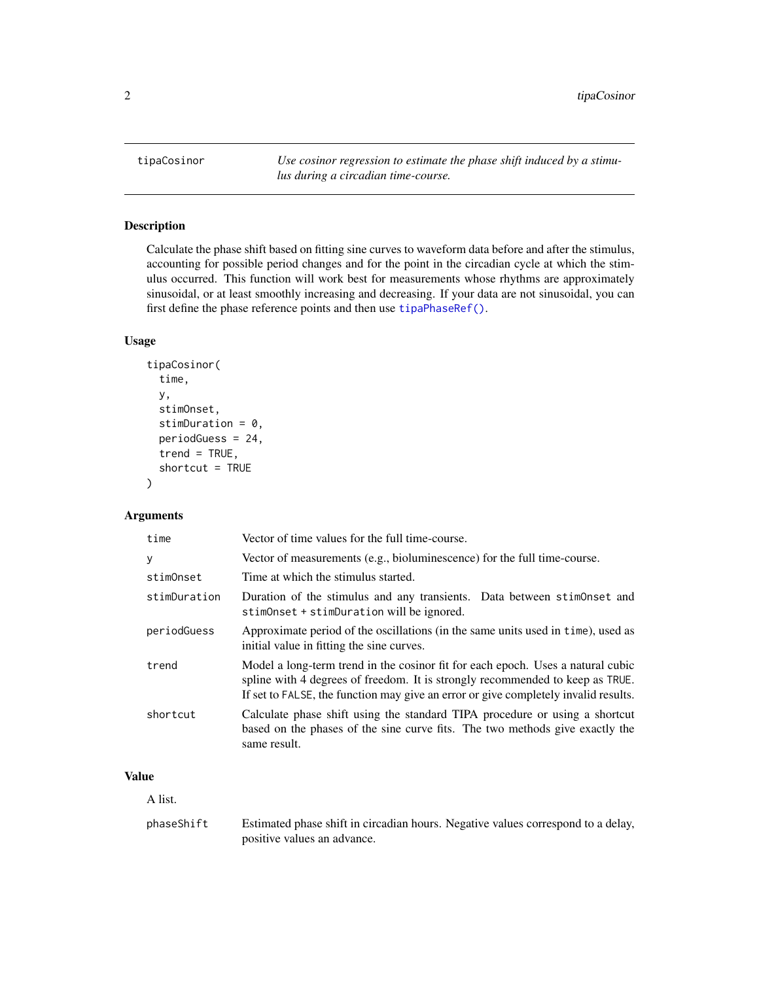<span id="page-1-1"></span><span id="page-1-0"></span>tipaCosinor *Use cosinor regression to estimate the phase shift induced by a stimulus during a circadian time-course.*

#### Description

Calculate the phase shift based on fitting sine curves to waveform data before and after the stimulus, accounting for possible period changes and for the point in the circadian cycle at which the stimulus occurred. This function will work best for measurements whose rhythms are approximately sinusoidal, or at least smoothly increasing and decreasing. If your data are not sinusoidal, you can first define the phase reference points and then use [tipaPhaseRef\(\)](#page-2-1).

#### Usage

```
tipaCosinor(
  time,
  y,
  stimOnset,
  stimDuration = 0,
  periodGuess = 24,
  trend = TRUE,shortcut = TRUE
)
```
#### Arguments

| time         | Vector of time values for the full time-course.                                                                                                                                                                                                         |
|--------------|---------------------------------------------------------------------------------------------------------------------------------------------------------------------------------------------------------------------------------------------------------|
| У            | Vector of measurements (e.g., bioluminescence) for the full time-course.                                                                                                                                                                                |
| stimOnset    | Time at which the stimulus started.                                                                                                                                                                                                                     |
| stimDuration | Duration of the stimulus and any transients. Data between stimonset and<br>stimOnset + stimDuration will be ignored.                                                                                                                                    |
| periodGuess  | Approximate period of the oscillations (in the same units used in time), used as<br>initial value in fitting the sine curves.                                                                                                                           |
| trend        | Model a long-term trend in the cosinor fit for each epoch. Uses a natural cubic<br>spline with 4 degrees of freedom. It is strongly recommended to keep as TRUE.<br>If set to FALSE, the function may give an error or give completely invalid results. |
| shortcut     | Calculate phase shift using the standard TIPA procedure or using a shortcut<br>based on the phases of the sine curve fits. The two methods give exactly the<br>same result.                                                                             |

#### Value

A list.

phaseShift Estimated phase shift in circadian hours. Negative values correspond to a delay, positive values an advance.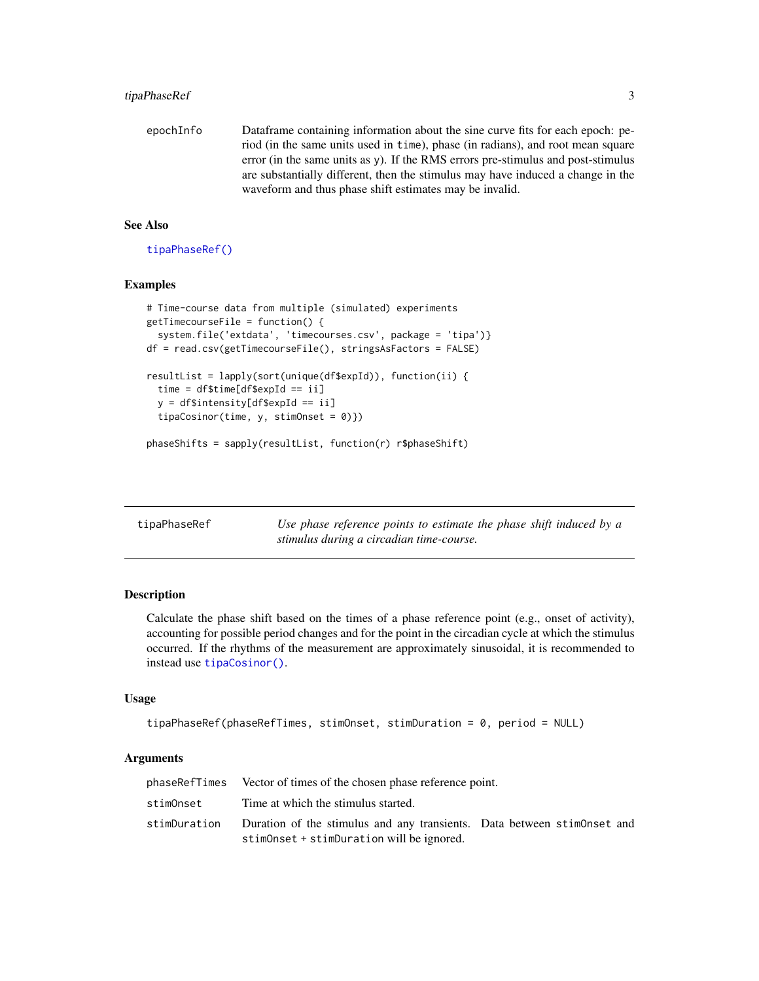<span id="page-2-0"></span>epochInfo Dataframe containing information about the sine curve fits for each epoch: period (in the same units used in time), phase (in radians), and root mean square error (in the same units as  $y$ ). If the RMS errors pre-stimulus and post-stimulus are substantially different, then the stimulus may have induced a change in the waveform and thus phase shift estimates may be invalid.

#### See Also

[tipaPhaseRef\(\)](#page-2-1)

#### Examples

```
# Time-course data from multiple (simulated) experiments
getTimecourseFile = function() {
  system.file('extdata', 'timecourses.csv', package = 'tipa')}
df = read.csv(getTimecourseFile(), stringsAsFactors = FALSE)
resultList = lapply(sort(unique(df$expId)), function(ii) {
 time = df$time[df$expId == ii]
 y = df$intensity[df$expId == ii]
 tipaCosinor(time, y, stimOnset = 0)))
phaseShifts = sapply(resultList, function(r) r$phaseShift)
```
<span id="page-2-1"></span>

| tipaPhaseRef | Use phase reference points to estimate the phase shift induced by a |
|--------------|---------------------------------------------------------------------|
|              | stimulus during a circadian time-course.                            |

#### Description

Calculate the phase shift based on the times of a phase reference point (e.g., onset of activity), accounting for possible period changes and for the point in the circadian cycle at which the stimulus occurred. If the rhythms of the measurement are approximately sinusoidal, it is recommended to instead use [tipaCosinor\(\)](#page-1-1).

#### Usage

```
tipaPhaseRef(phaseRefTimes, stimOnset, stimDuration = 0, period = NULL)
```
#### Arguments

| phaseRefTimes Vector of times of the chosen phase reference point.                                                                |  |  |
|-----------------------------------------------------------------------------------------------------------------------------------|--|--|
| stimOnset Time at which the stimulus started.                                                                                     |  |  |
| stimDuration Duration of the stimulus and any transients. Data between stimOnset and<br>stimOnset + stimDuration will be ignored. |  |  |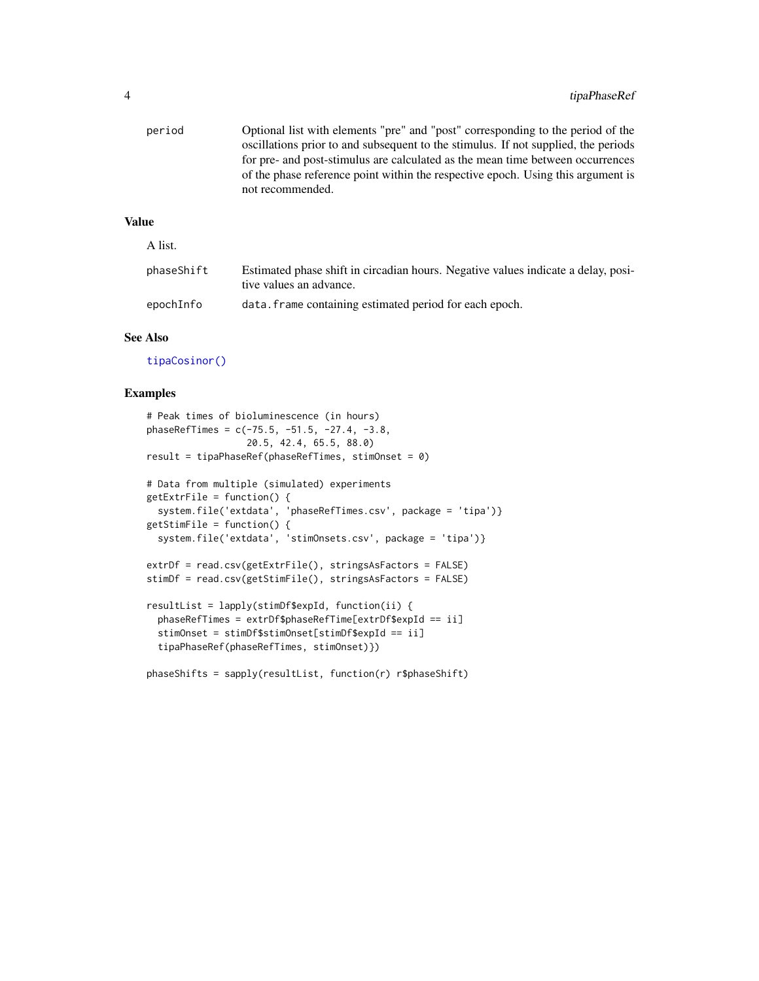<span id="page-3-0"></span>

| period       | Optional list with elements "pre" and "post" corresponding to the period of the<br>oscillations prior to and subsequent to the stimulus. If not supplied, the periods<br>for pre- and post-stimulus are calculated as the mean time between occurrences<br>of the phase reference point within the respective epoch. Using this argument is<br>not recommended. |
|--------------|-----------------------------------------------------------------------------------------------------------------------------------------------------------------------------------------------------------------------------------------------------------------------------------------------------------------------------------------------------------------|
| <b>Value</b> |                                                                                                                                                                                                                                                                                                                                                                 |
| A list.      |                                                                                                                                                                                                                                                                                                                                                                 |
| phaseShift   | Estimated phase shift in circadian hours. Negative values indicate a delay, posi-<br>tive values an advance.                                                                                                                                                                                                                                                    |

### See Also

[tipaCosinor\(\)](#page-1-1)

#### Examples

```
# Peak times of bioluminescence (in hours)
phaseRefTimes = c(-75.5, -51.5, -27.4, -3.8,
                  20.5, 42.4, 65.5, 88.0)
result = tipaPhaseRef(phaseRefTimes, stimOnset = 0)
# Data from multiple (simulated) experiments
getExtrFile = function() {
 system.file('extdata', 'phaseRefTimes.csv', package = 'tipa')}
getStimFile = function() {
 system.file('extdata', 'stimOnsets.csv', package = 'tipa')}
extrDf = read.csv(getExtrFile(), stringsAsFactors = FALSE)
stimDf = read.csv(getStimFile(), stringsAsFactors = FALSE)
resultList = lapply(stimDf$expId, function(ii) {
 phaseRefTimes = extrDf$phaseRefTime[extrDf$expId == ii]
 stimOnset = stimDf$stimOnset[stimDf$expId == ii]
 tipaPhaseRef(phaseRefTimes, stimOnset)})
phaseShifts = sapply(resultList, function(r) r$phaseShift)
```
epochInfo data.frame containing estimated period for each epoch.